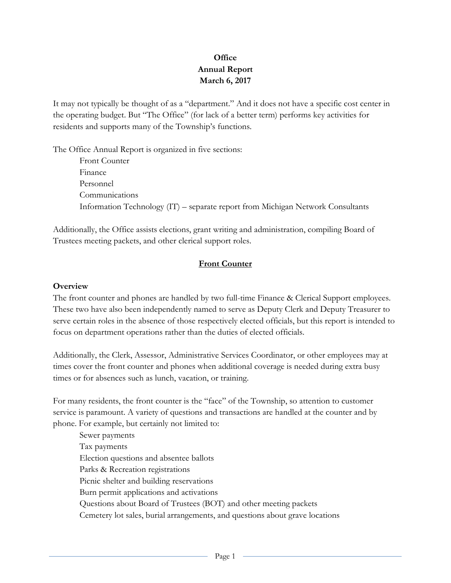# **Office Annual Report March 6, 2017**

It may not typically be thought of as a "department." And it does not have a specific cost center in the operating budget. But "The Office" (for lack of a better term) performs key activities for residents and supports many of the Township's functions.

The Office Annual Report is organized in five sections:

Front Counter Finance Personnel Communications Information Technology (IT) – separate report from Michigan Network Consultants

Additionally, the Office assists elections, grant writing and administration, compiling Board of Trustees meeting packets, and other clerical support roles.

## **Front Counter**

#### **Overview**

The front counter and phones are handled by two full-time Finance & Clerical Support employees. These two have also been independently named to serve as Deputy Clerk and Deputy Treasurer to serve certain roles in the absence of those respectively elected officials, but this report is intended to focus on department operations rather than the duties of elected officials.

Additionally, the Clerk, Assessor, Administrative Services Coordinator, or other employees may at times cover the front counter and phones when additional coverage is needed during extra busy times or for absences such as lunch, vacation, or training.

For many residents, the front counter is the "face" of the Township, so attention to customer service is paramount. A variety of questions and transactions are handled at the counter and by phone. For example, but certainly not limited to:

Sewer payments Tax payments Election questions and absentee ballots Parks & Recreation registrations Picnic shelter and building reservations Burn permit applications and activations Questions about Board of Trustees (BOT) and other meeting packets Cemetery lot sales, burial arrangements, and questions about grave locations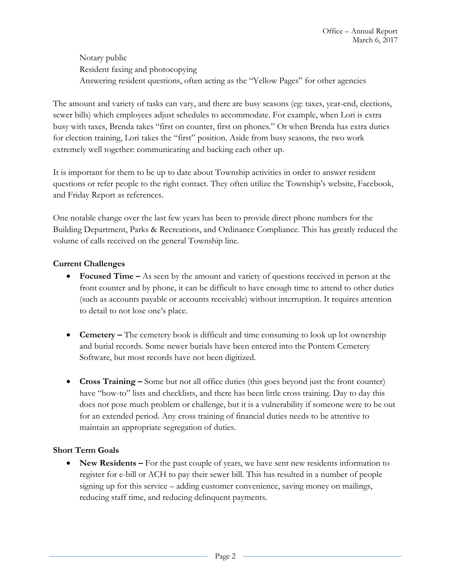Notary public Resident faxing and photocopying Answering resident questions, often acting as the "Yellow Pages" for other agencies

The amount and variety of tasks can vary, and there are busy seasons (eg: taxes, year-end, elections, sewer bills) which employees adjust schedules to accommodate. For example, when Lori is extra busy with taxes, Brenda takes "first on counter, first on phones." Or when Brenda has extra duties for election training, Lori takes the "first" position. Aside from busy seasons, the two work extremely well together: communicating and backing each other up.

It is important for them to be up to date about Township activities in order to answer resident questions or refer people to the right contact. They often utilize the Township's website, Facebook, and Friday Report as references.

One notable change over the last few years has been to provide direct phone numbers for the Building Department, Parks & Recreations, and Ordinance Compliance. This has greatly reduced the volume of calls received on the general Township line.

## **Current Challenges**

- **Focused Time –** As seen by the amount and variety of questions received in person at the front counter and by phone, it can be difficult to have enough time to attend to other duties (such as accounts payable or accounts receivable) without interruption. It requires attention to detail to not lose one's place.
- **Cemetery –** The cemetery book is difficult and time consuming to look up lot ownership and burial records. Some newer burials have been entered into the Pontem Cemetery Software, but most records have not been digitized.
- **Cross Training –** Some but not all office duties (this goes beyond just the front counter) have "how-to" lists and checklists, and there has been little cross training. Day to day this does not pose much problem or challenge, but it is a vulnerability if someone were to be out for an extended period. Any cross training of financial duties needs to be attentive to maintain an appropriate segregation of duties.

## **Short Term Goals**

• New Residents – For the past couple of years, we have sent new residents information to register for e-bill or ACH to pay their sewer bill. This has resulted in a number of people signing up for this service – adding customer convenience, saving money on mailings, reducing staff time, and reducing delinquent payments.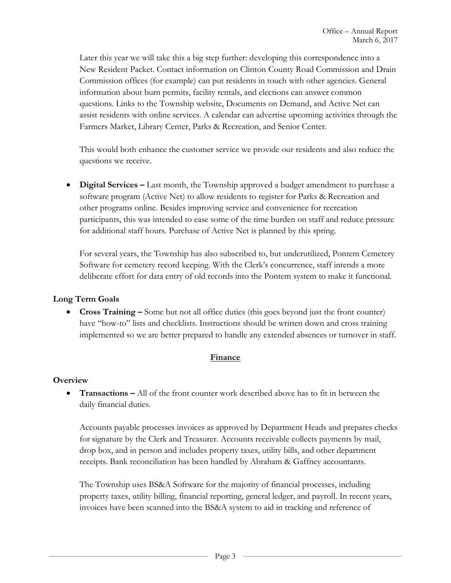Later this year we will take this a big step further: developing this correspondence into a New Resident Packet. Contact information on Clinton County Road Commission and Drain Commission offices (for example) can put residents in touch with other agencies. General information about burn permits, facility rentals, and elections can answer common questions. Links to the Township website, Documents on Demand, and Active Net can assist residents with online services. A calendar can advertise upcoming activities through the Farmers Market, Library Center, Parks & Recreation, and Senior Center.

This would both enhance the customer service we provide our residents and also reduce the questions we receive.

 **Digital Services –** Last month, the Township approved a budget amendment to purchase a software program (Active Net) to allow residents to register for Parks & Recreation and other programs online. Besides improving service and convenience for recreation participants, this was intended to ease some of the time burden on staff and reduce pressure for additional staff hours. Purchase of Active Net is planned by this spring.

For several years, the Township has also subscribed to, but underutilized, Pontem Cemetery Software for cemetery record keeping. With the Clerk's concurrence, staff intends a more deliberate effort for data entry of old records into the Pontem system to make it functional.

## **Long Term Goals**

 **Cross Training –** Some but not all office duties (this goes beyond just the front counter) have "how-to" lists and checklists. Instructions should be written down and cross training implemented so we are better prepared to handle any extended absences or turnover in staff.

## **Finance**

#### **Overview**

 **Transactions –** All of the front counter work described above has to fit in between the daily financial duties.

Accounts payable processes invoices as approved by Department Heads and prepares checks for signature by the Clerk and Treasurer. Accounts receivable collects payments by mail, drop box, and in person and includes property taxes, utility bills, and other department receipts. Bank reconciliation has been handled by Abraham & Gaffney accountants.

The Township uses BS&A Software for the majority of financial processes, including property taxes, utility billing, financial reporting, general ledger, and payroll. In recent years, invoices have been scanned into the BS&A system to aid in tracking and reference of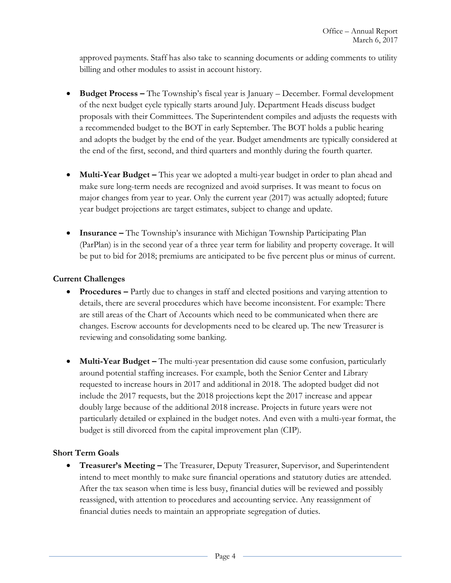approved payments. Staff has also take to scanning documents or adding comments to utility billing and other modules to assist in account history.

- **Budget Process –** The Township's fiscal year is January December. Formal development of the next budget cycle typically starts around July. Department Heads discuss budget proposals with their Committees. The Superintendent compiles and adjusts the requests with a recommended budget to the BOT in early September. The BOT holds a public hearing and adopts the budget by the end of the year. Budget amendments are typically considered at the end of the first, second, and third quarters and monthly during the fourth quarter.
- **Multi-Year Budget –** This year we adopted a multi-year budget in order to plan ahead and make sure long-term needs are recognized and avoid surprises. It was meant to focus on major changes from year to year. Only the current year (2017) was actually adopted; future year budget projections are target estimates, subject to change and update.
- **Insurance –** The Township's insurance with Michigan Township Participating Plan (ParPlan) is in the second year of a three year term for liability and property coverage. It will be put to bid for 2018; premiums are anticipated to be five percent plus or minus of current.

## **Current Challenges**

- **•** Procedures Partly due to changes in staff and elected positions and varying attention to details, there are several procedures which have become inconsistent. For example: There are still areas of the Chart of Accounts which need to be communicated when there are changes. Escrow accounts for developments need to be cleared up. The new Treasurer is reviewing and consolidating some banking.
- **Multi-Year Budget –** The multi-year presentation did cause some confusion, particularly around potential staffing increases. For example, both the Senior Center and Library requested to increase hours in 2017 and additional in 2018. The adopted budget did not include the 2017 requests, but the 2018 projections kept the 2017 increase and appear doubly large because of the additional 2018 increase. Projects in future years were not particularly detailed or explained in the budget notes. And even with a multi-year format, the budget is still divorced from the capital improvement plan (CIP).

#### **Short Term Goals**

 **Treasurer's Meeting –** The Treasurer, Deputy Treasurer, Supervisor, and Superintendent intend to meet monthly to make sure financial operations and statutory duties are attended. After the tax season when time is less busy, financial duties will be reviewed and possibly reassigned, with attention to procedures and accounting service. Any reassignment of financial duties needs to maintain an appropriate segregation of duties.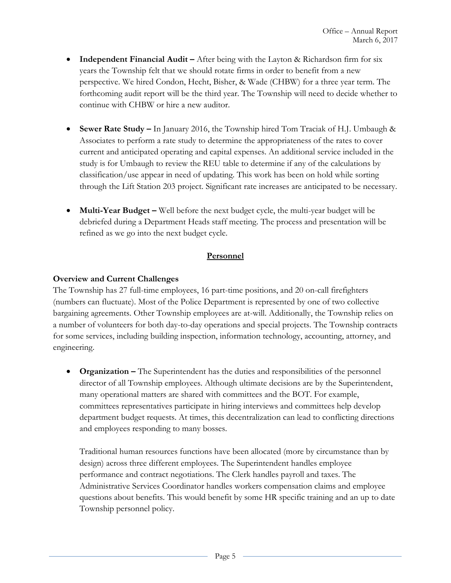- **Independent Financial Audit –** After being with the Layton & Richardson firm for six years the Township felt that we should rotate firms in order to benefit from a new perspective. We hired Condon, Hecht, Bisher, & Wade (CHBW) for a three year term. The forthcoming audit report will be the third year. The Township will need to decide whether to continue with CHBW or hire a new auditor.
- **Sewer Rate Study –** In January 2016, the Township hired Tom Traciak of H.J. Umbaugh & Associates to perform a rate study to determine the appropriateness of the rates to cover current and anticipated operating and capital expenses. An additional service included in the study is for Umbaugh to review the REU table to determine if any of the calculations by classification/use appear in need of updating. This work has been on hold while sorting through the Lift Station 203 project. Significant rate increases are anticipated to be necessary.
- **Multi-Year Budget –** Well before the next budget cycle, the multi-year budget will be debriefed during a Department Heads staff meeting. The process and presentation will be refined as we go into the next budget cycle.

## **Personnel**

## **Overview and Current Challenges**

The Township has 27 full-time employees, 16 part-time positions, and 20 on-call firefighters (numbers can fluctuate). Most of the Police Department is represented by one of two collective bargaining agreements. Other Township employees are at-will. Additionally, the Township relies on a number of volunteers for both day-to-day operations and special projects. The Township contracts for some services, including building inspection, information technology, accounting, attorney, and engineering.

**• Organization** – The Superintendent has the duties and responsibilities of the personnel director of all Township employees. Although ultimate decisions are by the Superintendent, many operational matters are shared with committees and the BOT. For example, committees representatives participate in hiring interviews and committees help develop department budget requests. At times, this decentralization can lead to conflicting directions and employees responding to many bosses.

Traditional human resources functions have been allocated (more by circumstance than by design) across three different employees. The Superintendent handles employee performance and contract negotiations. The Clerk handles payroll and taxes. The Administrative Services Coordinator handles workers compensation claims and employee questions about benefits. This would benefit by some HR specific training and an up to date Township personnel policy.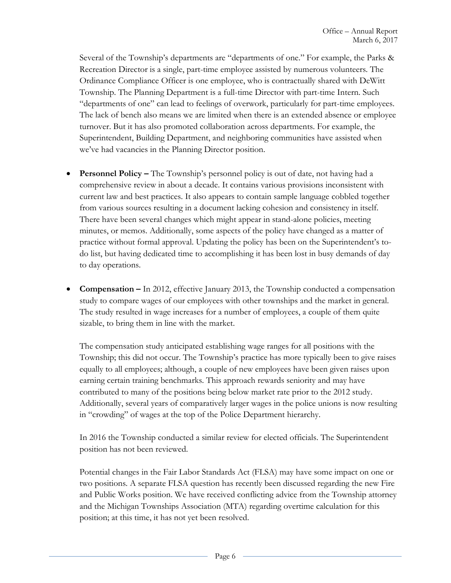Several of the Township's departments are "departments of one." For example, the Parks & Recreation Director is a single, part-time employee assisted by numerous volunteers. The Ordinance Compliance Officer is one employee, who is contractually shared with DeWitt Township. The Planning Department is a full-time Director with part-time Intern. Such "departments of one" can lead to feelings of overwork, particularly for part-time employees. The lack of bench also means we are limited when there is an extended absence or employee turnover. But it has also promoted collaboration across departments. For example, the Superintendent, Building Department, and neighboring communities have assisted when we've had vacancies in the Planning Director position.

- **Personnel Policy –** The Township's personnel policy is out of date, not having had a comprehensive review in about a decade. It contains various provisions inconsistent with current law and best practices. It also appears to contain sample language cobbled together from various sources resulting in a document lacking cohesion and consistency in itself. There have been several changes which might appear in stand-alone policies, meeting minutes, or memos. Additionally, some aspects of the policy have changed as a matter of practice without formal approval. Updating the policy has been on the Superintendent's todo list, but having dedicated time to accomplishing it has been lost in busy demands of day to day operations.
- **Compensation –** In 2012, effective January 2013, the Township conducted a compensation study to compare wages of our employees with other townships and the market in general. The study resulted in wage increases for a number of employees, a couple of them quite sizable, to bring them in line with the market.

The compensation study anticipated establishing wage ranges for all positions with the Township; this did not occur. The Township's practice has more typically been to give raises equally to all employees; although, a couple of new employees have been given raises upon earning certain training benchmarks. This approach rewards seniority and may have contributed to many of the positions being below market rate prior to the 2012 study. Additionally, several years of comparatively larger wages in the police unions is now resulting in "crowding" of wages at the top of the Police Department hierarchy.

In 2016 the Township conducted a similar review for elected officials. The Superintendent position has not been reviewed.

Potential changes in the Fair Labor Standards Act (FLSA) may have some impact on one or two positions. A separate FLSA question has recently been discussed regarding the new Fire and Public Works position. We have received conflicting advice from the Township attorney and the Michigan Townships Association (MTA) regarding overtime calculation for this position; at this time, it has not yet been resolved.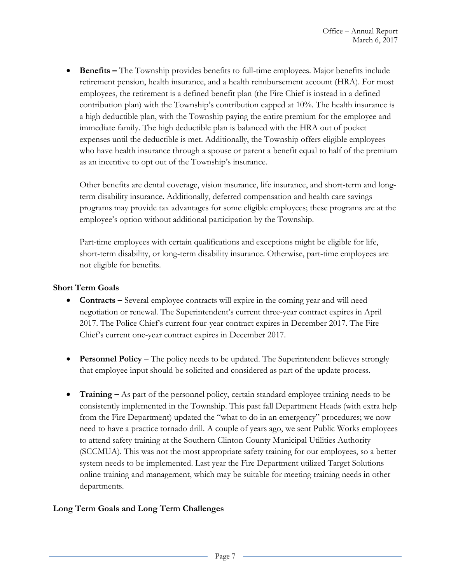**Benefits –** The Township provides benefits to full-time employees. Major benefits include retirement pension, health insurance, and a health reimbursement account (HRA). For most employees, the retirement is a defined benefit plan (the Fire Chief is instead in a defined contribution plan) with the Township's contribution capped at 10%. The health insurance is a high deductible plan, with the Township paying the entire premium for the employee and immediate family. The high deductible plan is balanced with the HRA out of pocket expenses until the deductible is met. Additionally, the Township offers eligible employees who have health insurance through a spouse or parent a benefit equal to half of the premium as an incentive to opt out of the Township's insurance.

Other benefits are dental coverage, vision insurance, life insurance, and short-term and longterm disability insurance. Additionally, deferred compensation and health care savings programs may provide tax advantages for some eligible employees; these programs are at the employee's option without additional participation by the Township.

Part-time employees with certain qualifications and exceptions might be eligible for life, short-term disability, or long-term disability insurance. Otherwise, part-time employees are not eligible for benefits.

## **Short Term Goals**

- **•** Contracts Several employee contracts will expire in the coming year and will need negotiation or renewal. The Superintendent's current three-year contract expires in April 2017. The Police Chief's current four-year contract expires in December 2017. The Fire Chief's current one-year contract expires in December 2017.
- **Personnel Policy** The policy needs to be updated. The Superintendent believes strongly that employee input should be solicited and considered as part of the update process.
- **Training –** As part of the personnel policy, certain standard employee training needs to be consistently implemented in the Township. This past fall Department Heads (with extra help from the Fire Department) updated the "what to do in an emergency" procedures; we now need to have a practice tornado drill. A couple of years ago, we sent Public Works employees to attend safety training at the Southern Clinton County Municipal Utilities Authority (SCCMUA). This was not the most appropriate safety training for our employees, so a better system needs to be implemented. Last year the Fire Department utilized Target Solutions online training and management, which may be suitable for meeting training needs in other departments.

# **Long Term Goals and Long Term Challenges**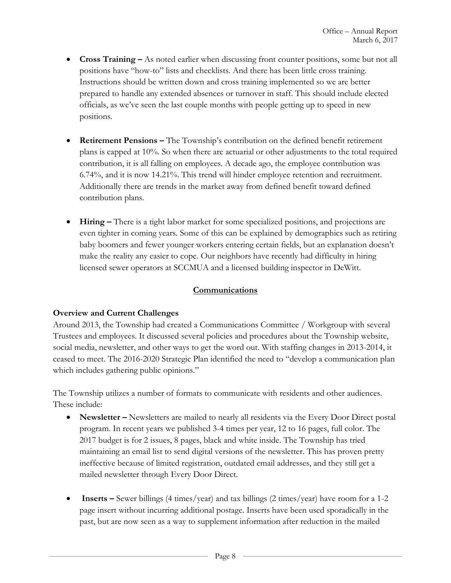- **•** Cross Training As noted earlier when discussing front counter positions, some but not all positions have "how-to" lists and checklists. And there has been little cross training. Instructions should be written down and cross training implemented so we are better prepared to handle any extended absences or turnover in staff. This should include elected officials, as we've seen the last couple months with people getting up to speed in new positions.
- **Retirement Pensions –** The Township's contribution on the defined benefit retirement plans is capped at 10%. So when there are actuarial or other adjustments to the total required contribution, it is all falling on employees. A decade ago, the employee contribution was 6.74%, and it is now 14.21%. This trend will hinder employee retention and recruitment. Additionally there are trends in the market away from defined benefit toward defined contribution plans.
- **Hiring –** There is a tight labor market for some specialized positions, and projections are even tighter in coming years. Some of this can be explained by demographics such as retiring baby boomers and fewer younger workers entering certain fields, but an explanation doesn't make the reality any easier to cope. Our neighbors have recently had difficulty in hiring licensed sewer operators at SCCMUA and a licensed building inspector in DeWitt.

## **Communications**

## **Overview and Current Challenges**

Around 2013, the Township had created a Communications Committee / Workgroup with several Trustees and employees. It discussed several policies and procedures about the Township website, social media, newsletter, and other ways to get the word out. With staffing changes in 2013-2014, it ceased to meet. The 2016-2020 Strategic Plan identified the need to "develop a communication plan which includes gathering public opinions."

The Township utilizes a number of formats to communicate with residents and other audiences. These include:

- **Newsletter –** Newsletters are mailed to nearly all residents via the Every Door Direct postal program. In recent years we published 3-4 times per year, 12 to 16 pages, full color. The 2017 budget is for 2 issues, 8 pages, black and white inside. The Township has tried maintaining an email list to send digital versions of the newsletter. This has proven pretty ineffective because of limited registration, outdated email addresses, and they still get a mailed newsletter through Every Door Direct.
- **Inserts –** Sewer billings (4 times/year) and tax billings (2 times/year) have room for a 1-2 page insert without incurring additional postage. Inserts have been used sporadically in the past, but are now seen as a way to supplement information after reduction in the mailed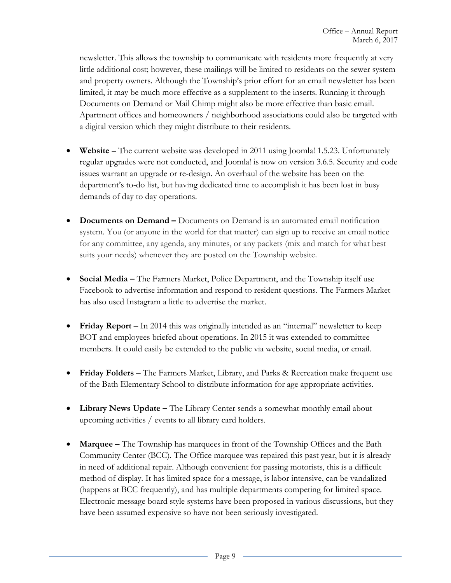newsletter. This allows the township to communicate with residents more frequently at very little additional cost; however, these mailings will be limited to residents on the sewer system and property owners. Although the Township's prior effort for an email newsletter has been limited, it may be much more effective as a supplement to the inserts. Running it through Documents on Demand or Mail Chimp might also be more effective than basic email. Apartment offices and homeowners / neighborhood associations could also be targeted with a digital version which they might distribute to their residents.

- **Website** The current website was developed in 2011 using Joomla! 1.5.23. Unfortunately regular upgrades were not conducted, and Joomla! is now on version 3.6.5. Security and code issues warrant an upgrade or re-design. An overhaul of the website has been on the department's to-do list, but having dedicated time to accomplish it has been lost in busy demands of day to day operations.
- **Documents on Demand –** Documents on Demand is an automated email notification system. You (or anyone in the world for that matter) can sign up to receive an email notice for any committee, any agenda, any minutes, or any packets (mix and match for what best suits your needs) whenever they are posted on the Township website.
- **Social Media –** The Farmers Market, Police Department, and the Township itself use Facebook to advertise information and respond to resident questions. The Farmers Market has also used Instagram a little to advertise the market.
- **Friday Report** In 2014 this was originally intended as an "internal" newsletter to keep BOT and employees briefed about operations. In 2015 it was extended to committee members. It could easily be extended to the public via website, social media, or email.
- **Friday Folders –** The Farmers Market, Library, and Parks & Recreation make frequent use of the Bath Elementary School to distribute information for age appropriate activities.
- **Library News Update -** The Library Center sends a somewhat monthly email about upcoming activities / events to all library card holders.
- **Marquee –** The Township has marquees in front of the Township Offices and the Bath Community Center (BCC). The Office marquee was repaired this past year, but it is already in need of additional repair. Although convenient for passing motorists, this is a difficult method of display. It has limited space for a message, is labor intensive, can be vandalized (happens at BCC frequently), and has multiple departments competing for limited space. Electronic message board style systems have been proposed in various discussions, but they have been assumed expensive so have not been seriously investigated.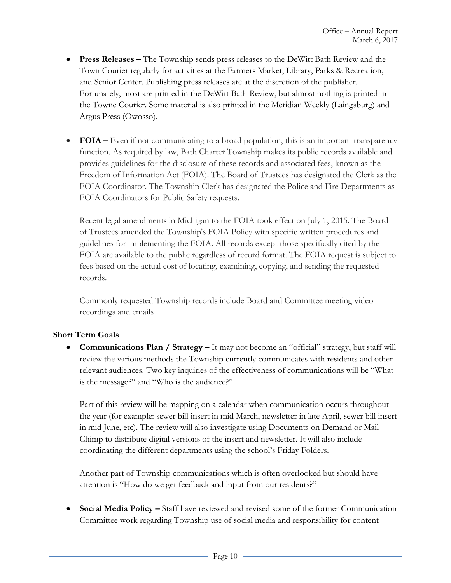- **Press Releases –** The Township sends press releases to the DeWitt Bath Review and the Town Courier regularly for activities at the Farmers Market, Library, Parks & Recreation, and Senior Center. Publishing press releases are at the discretion of the publisher. Fortunately, most are printed in the DeWitt Bath Review, but almost nothing is printed in the Towne Courier. Some material is also printed in the Meridian Weekly (Laingsburg) and Argus Press (Owosso).
- **FOIA** Even if not communicating to a broad population, this is an important transparency function. As required by law, Bath Charter Township makes its public records available and provides guidelines for the disclosure of these records and associated fees, known as the Freedom of Information Act (FOIA). The Board of Trustees has designated the Clerk as the FOIA Coordinator. The Township Clerk has designated the Police and Fire Departments as FOIA Coordinators for Public Safety requests.

Recent legal amendments in Michigan to the FOIA took effect on July 1, 2015. The Board of Trustees amended the Township's FOIA Policy with specific written procedures and guidelines for implementing the FOIA. All records except those specifically cited by the FOIA are available to the public regardless of record format. The FOIA request is subject to fees based on the actual cost of locating, examining, copying, and sending the requested records.

Commonly requested Township records include Board and Committee meeting video recordings and emails

## **Short Term Goals**

 **Communications Plan / Strategy –** It may not become an "official" strategy, but staff will review the various methods the Township currently communicates with residents and other relevant audiences. Two key inquiries of the effectiveness of communications will be "What is the message?" and "Who is the audience?"

Part of this review will be mapping on a calendar when communication occurs throughout the year (for example: sewer bill insert in mid March, newsletter in late April, sewer bill insert in mid June, etc). The review will also investigate using Documents on Demand or Mail Chimp to distribute digital versions of the insert and newsletter. It will also include coordinating the different departments using the school's Friday Folders.

Another part of Township communications which is often overlooked but should have attention is "How do we get feedback and input from our residents?"

 **Social Media Policy –** Staff have reviewed and revised some of the former Communication Committee work regarding Township use of social media and responsibility for content